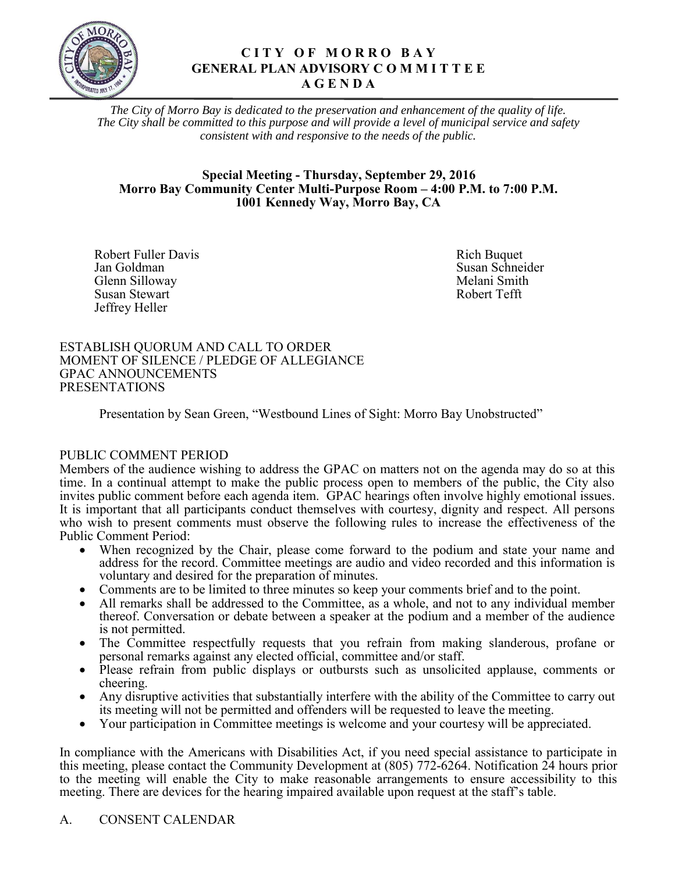

#### **C I T Y O F M O R R O B A Y GENERAL PLAN ADVISORY C O M M I T T E E A G E N D A**

*The City of Morro Bay is dedicated to the preservation and enhancement of the quality of life. The City shall be committed to this purpose and will provide a level of municipal service and safety consistent with and responsive to the needs of the public.* 

#### **Special Meeting - Thursday, September 29, 2016 Morro Bay Community Center Multi-Purpose Room – 4:00 P.M. to 7:00 P.M. 1001 Kennedy Way, Morro Bay, CA**

Robert Fuller Davis<br>
Jan Goldman<br>
Susan Schnei Glenn Silloway Melani Smith Nelson Shah Melani Smith Nelson Smith Susan Stewart Nelson Smith Nelson Smith Susan Stewart Nelson Smith Nelson Smith Nelson Smith Nelson Smith Nelson Smith Nelson Smith Nelson Smith Nelson Smit Susan Stewart Jeffrey Heller

Susan Schneider<br>Melani Smith

#### ESTABLISH QUORUM AND CALL TO ORDER MOMENT OF SILENCE / PLEDGE OF ALLEGIANCE GPAC ANNOUNCEMENTS PRESENTATIONS

Presentation by Sean Green, "Westbound Lines of Sight: Morro Bay Unobstructed"

#### PUBLIC COMMENT PERIOD

Members of the audience wishing to address the GPAC on matters not on the agenda may do so at this time. In a continual attempt to make the public process open to members of the public, the City also invites public comment before each agenda item. GPAC hearings often involve highly emotional issues. It is important that all participants conduct themselves with courtesy, dignity and respect. All persons who wish to present comments must observe the following rules to increase the effectiveness of the Public Comment Period:

- When recognized by the Chair, please come forward to the podium and state your name and address for the record. Committee meetings are audio and video recorded and this information is voluntary and desired for the preparation of minutes.
- Comments are to be limited to three minutes so keep your comments brief and to the point.
- All remarks shall be addressed to the Committee, as a whole, and not to any individual member thereof. Conversation or debate between a speaker at the podium and a member of the audience is not permitted.
- The Committee respectfully requests that you refrain from making slanderous, profane or personal remarks against any elected official, committee and/or staff.
- Please refrain from public displays or outbursts such as unsolicited applause, comments or cheering.
- Any disruptive activities that substantially interfere with the ability of the Committee to carry out its meeting will not be permitted and offenders will be requested to leave the meeting.
- Your participation in Committee meetings is welcome and your courtesy will be appreciated.

In compliance with the Americans with Disabilities Act, if you need special assistance to participate in this meeting, please contact the Community Development at (805) 772-6264. Notification 24 hours prior to the meeting will enable the City to make reasonable arrangements to ensure accessibility to this meeting. There are devices for the hearing impaired available upon request at the staff's table.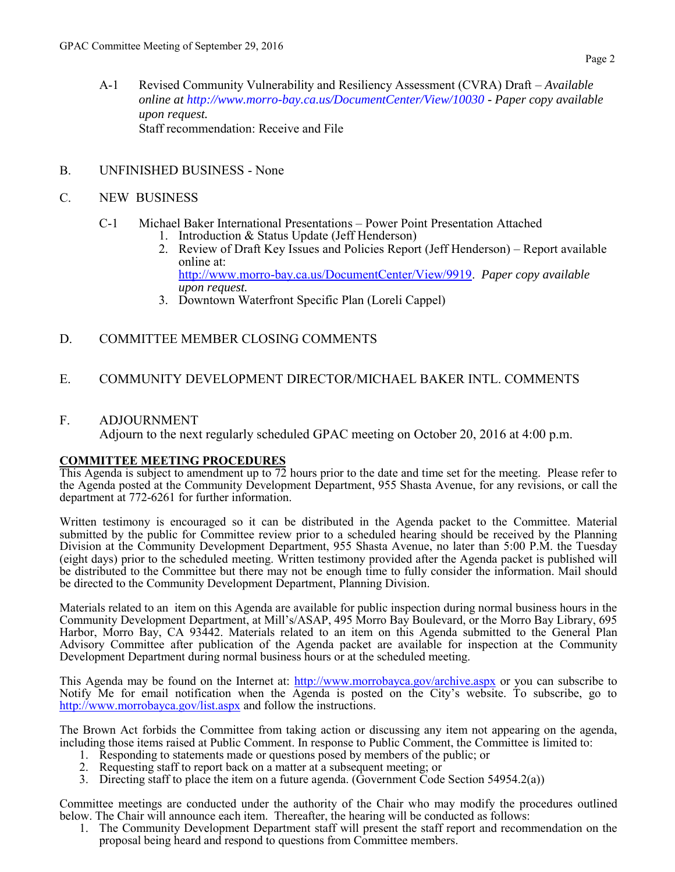A-1 Revised Community Vulnerability and Resiliency Assessment (CVRA) Draft – *Available online at<http://www.morro-bay.ca.us/DocumentCenter/View/10030> - Paper copy available upon request.* Staff recommendation: Receive and File

#### B. UNFINISHED BUSINESS - None

#### C. NEW BUSINESS

#### C-1 Michael Baker International Presentations – Power Point Presentation Attached

- 1. Introduction & Status Update (Jeff Henderson)
- 2. [Review of Draft Key Issues and Policies Report \(Jeff Henderson\) Report available](#page-3-0)  online at: [http://www.morro-bay.ca.us/DocumentCenter/View/9919.](http://www.morro-bay.ca.us/DocumentCenter/View/9919) *Paper copy available upon request.*
- 3. Downtown Waterfront Specific Plan (Loreli Cappel)

#### D. COMMITTEE MEMBER CLOSING COMMENTS

#### E. COMMUNITY DEVELOPMENT DIRECTOR/MICHAEL BAKER INTL. COMMENTS

#### F. ADJOURNMENT

Adjourn to the next regularly scheduled GPAC meeting on October 20, 2016 at 4:00 p.m.

#### **COMMITTEE MEETING PROCEDURES**

This Agenda is subject to amendment up to 72 hours prior to the date and time set for the meeting. Please refer to the Agenda posted at the Community Development Department, 955 Shasta Avenue, for any revisions, or call the department at 772-6261 for further information.

Written testimony is encouraged so it can be distributed in the Agenda packet to the Committee. Material submitted by the public for Committee review prior to a scheduled hearing should be received by the Planning Division at the Community Development Department, 955 Shasta Avenue, no later than 5:00 P.M. the Tuesday (eight days) prior to the scheduled meeting. Written testimony provided after the Agenda packet is published will be distributed to the Committee but there may not be enough time to fully consider the information. Mail should be directed to the Community Development Department, Planning Division.

Materials related to an item on this Agenda are available for public inspection during normal business hours in the Community Development Department, at Mill's/ASAP, 495 Morro Bay Boulevard, or the Morro Bay Library, 695 Harbor, Morro Bay, CA 93442. Materials related to an item on this Agenda submitted to the General Plan Advisory Committee after publication of the Agenda packet are available for inspection at the Community Development Department during normal business hours or at the scheduled meeting.

This Agenda may be found on the Internet at:<http://www.morrobayca.gov/archive.aspx>or you can subscribe to Notify Me for email notification when the Agenda is posted on the City's website. To subscribe, go to <http://www.morrobayca.gov/list.aspx> and follow the instructions.

The Brown Act forbids the Committee from taking action or discussing any item not appearing on the agenda, including those items raised at Public Comment. In response to Public Comment, the Committee is limited to:

- 1. Responding to statements made or questions posed by members of the public; or
- 2. Requesting staff to report back on a matter at a subsequent meeting; or
- 3. Directing staff to place the item on a future agenda. (Government Code Section 54954.2(a))

Committee meetings are conducted under the authority of the Chair who may modify the procedures outlined below. The Chair will announce each item. Thereafter, the hearing will be conducted as follows:

1. The Community Development Department staff will present the staff report and recommendation on the proposal being heard and respond to questions from Committee members.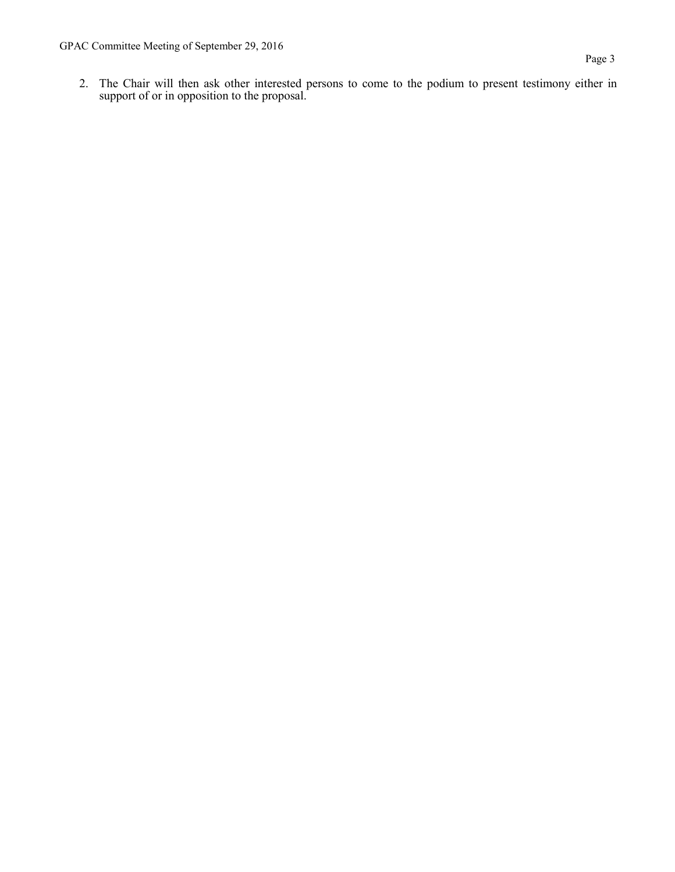2. The Chair will then ask other interested persons to come to the podium to present testimony either in support of or in opposition to the proposal.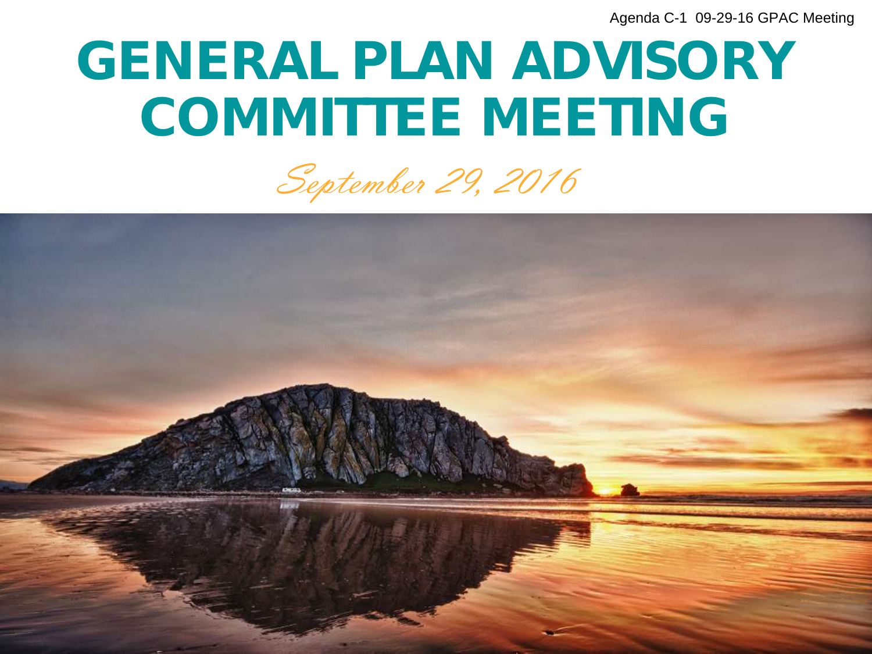### <span id="page-3-0"></span>GENERAL PLAN ADVISORY COMMITTEE MEETING

September 29, 2016

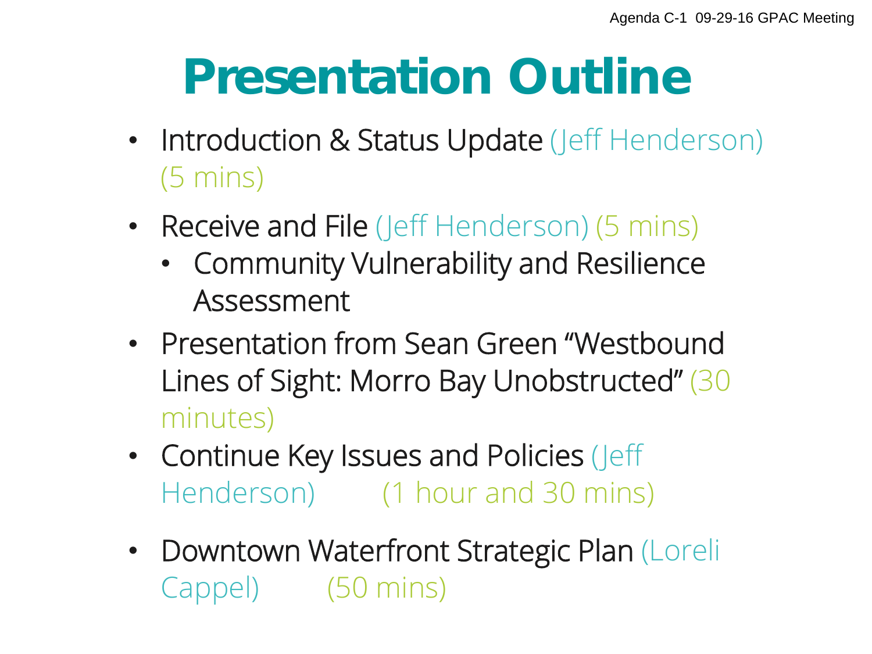### Presentation Outline

- Introduction & Status Update (Jeff Henderson) (5 mins)
- Receive and File (Jeff Henderson) (5 mins)
	- Community Vulnerability and Resilience Assessment
- Presentation from Sean Green "Westbound Lines of Sight: Morro Bay Unobstructed" (30 minutes)
- Continue Key Issues and Policies (Jeff Henderson) (1 hour and 30 mins)
- Downtown Waterfront Strategic Plan (Loreli Cappel) (50 mins)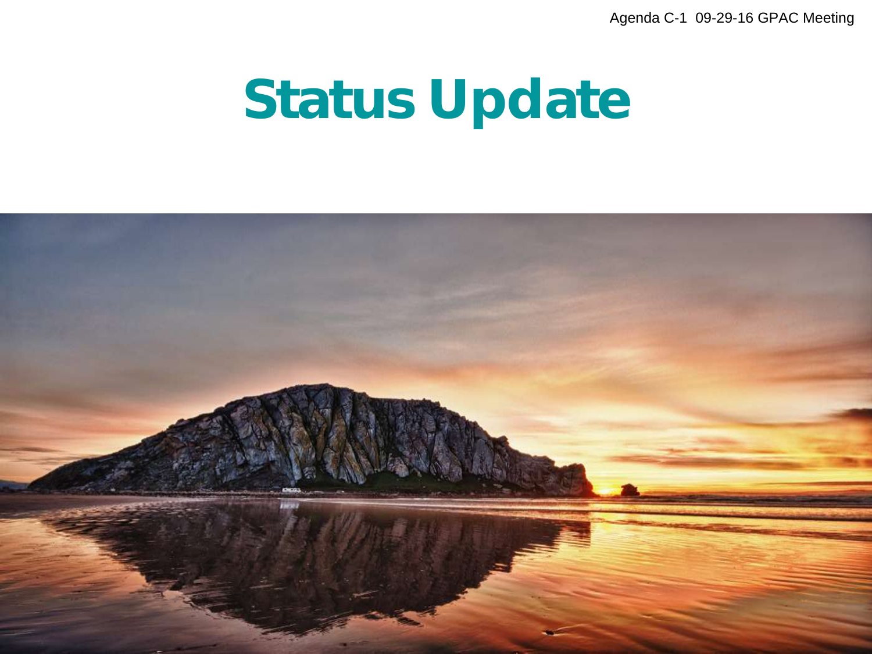### Status Update

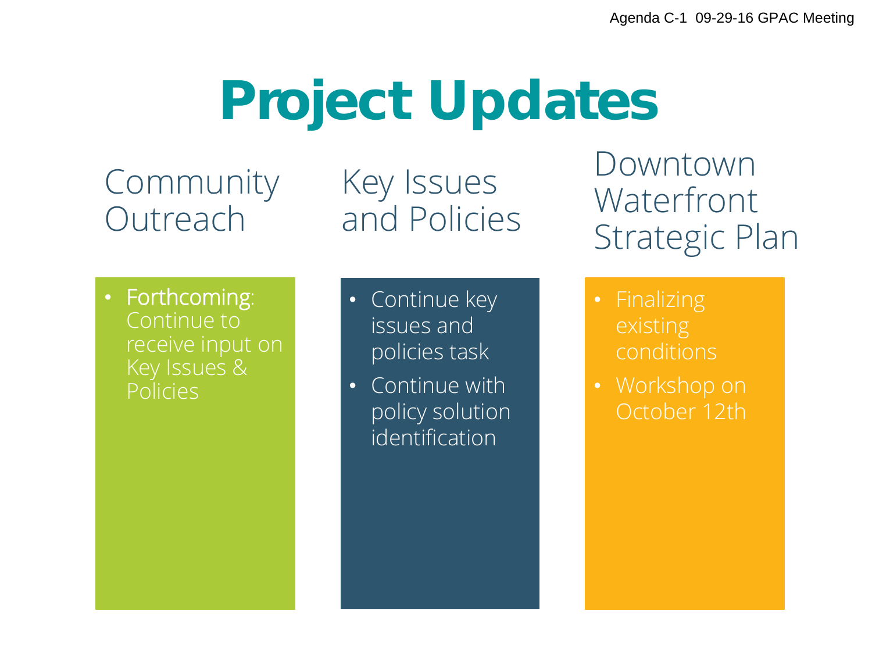### Project Updates

Community **Outreach** 

Key Issues and Policies

#### Downtown Waterfront Strategic Plan

- Forthcoming: Continue to receive input on Key Issues & Policies
- Continue key issues and policies task
- Continue with policy solution identification
- conditions
- Workshop on October 12th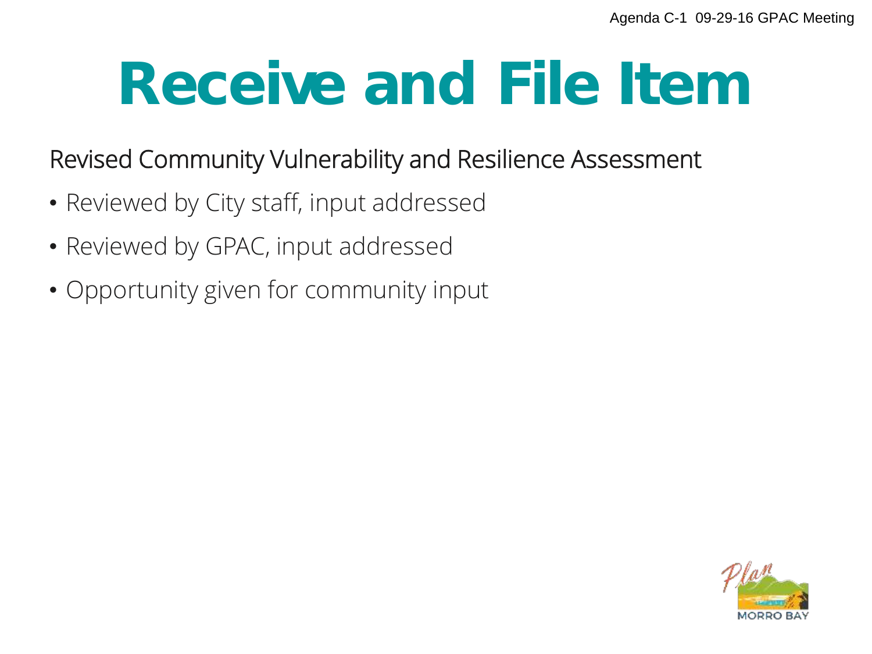## Receive and File Item

#### Revised Community Vulnerability and Resilience Assessment

- Reviewed by City staff, input addressed
- Reviewed by GPAC, input addressed
- Opportunity given for community input

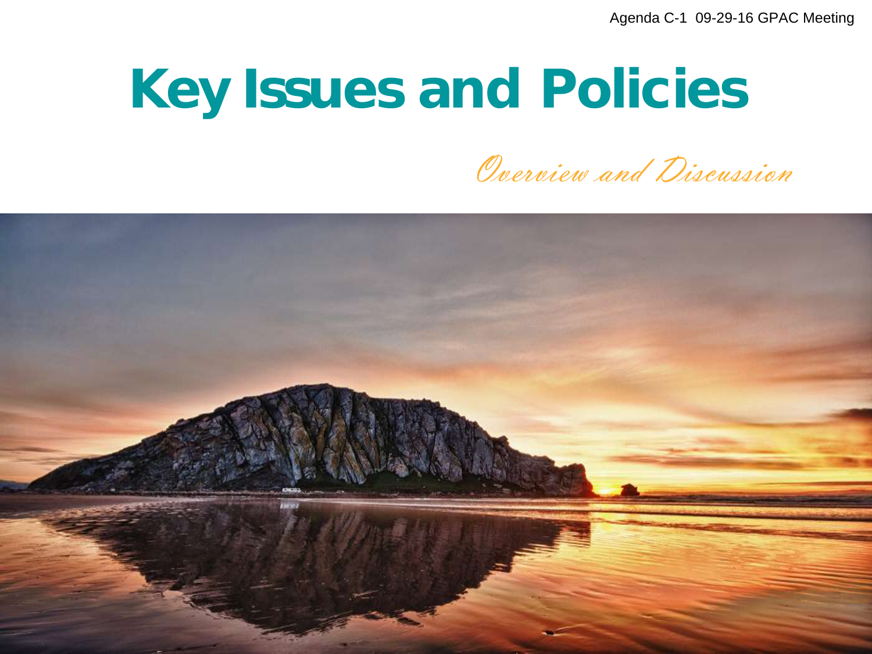### Key Issues and Policies

Overview and Discussion

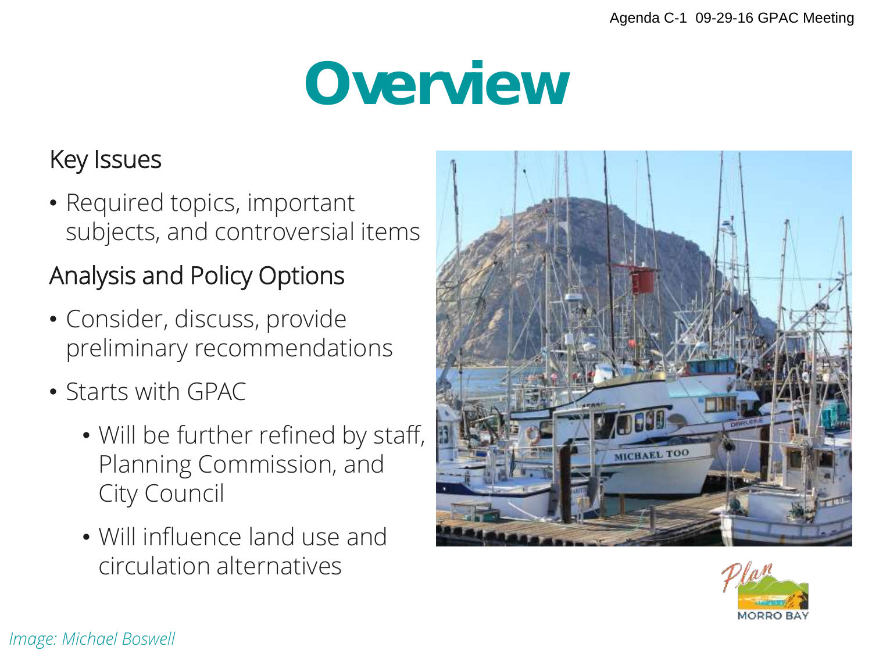## Overview

#### Key Issues

• Required topics, important subjects, and controversial items

#### Analysis and Policy Options

- Consider, discuss, provide preliminary recommendations
- Starts with GPAC
	- Will be further refined by staff, Planning Commission, and City Council
	- Will influence land use and circulation alternatives



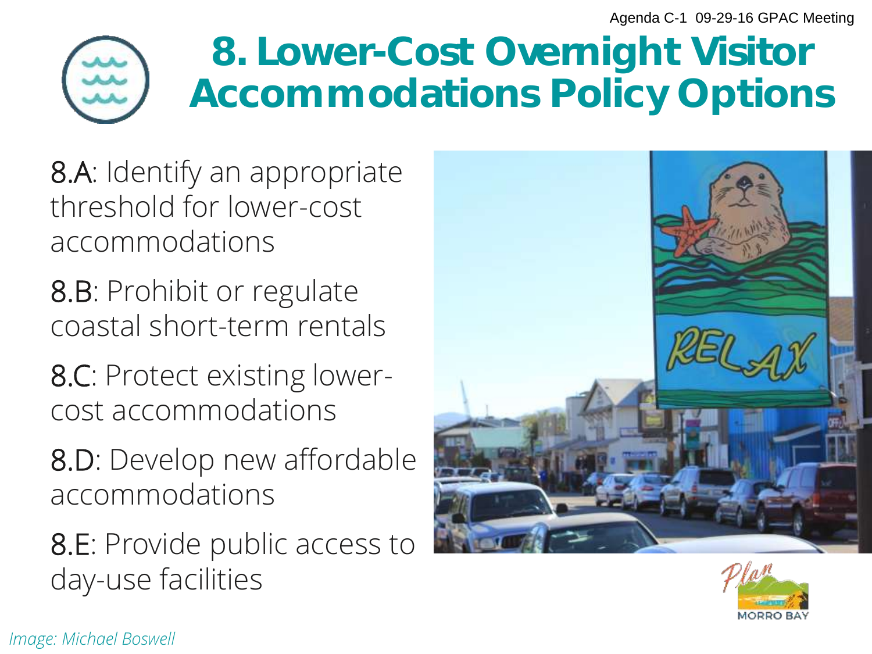

#### 8. Lower-Cost Overnight Visitor Accommodations Policy Options

8.A: Identify an appropriate threshold for lower-cost accommodations

8.B: Prohibit or regulate coastal short-term rentals

8.C: Protect existing lowercost accommodations

8.D: Develop new affordable accommodations

8.E: Provide public access to day-use facilities





*Image: Michael Boswell*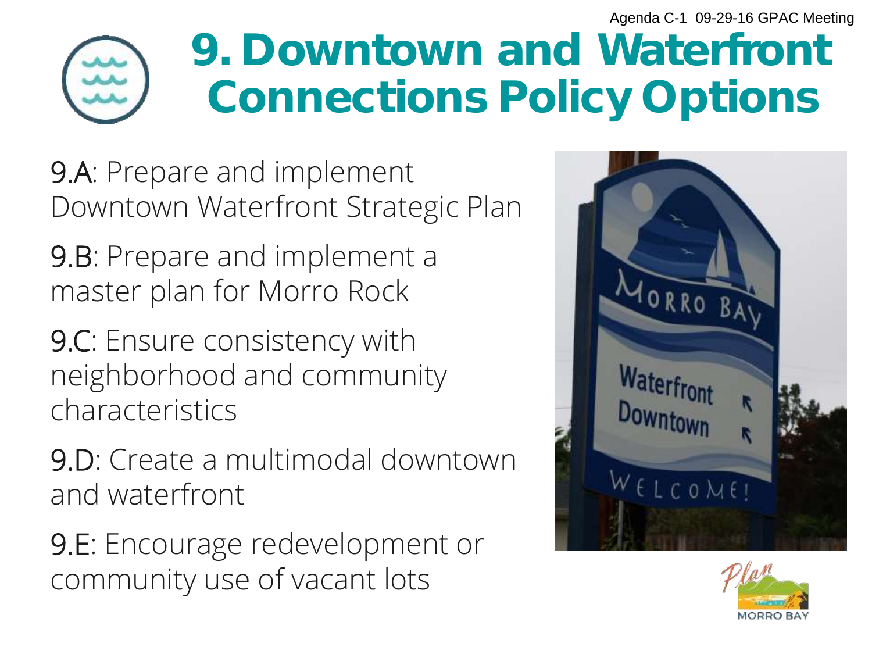

### 9. Downtown and Waterfront Connections Policy Options

9.A: Prepare and implement Downtown Waterfront Strategic Plan

9.B: Prepare and implement a master plan for Morro Rock

9.C: Ensure consistency with neighborhood and community characteristics

9.D: Create a multimodal downtown and waterfront

9.E: Encourage redevelopment or community use of vacant lots



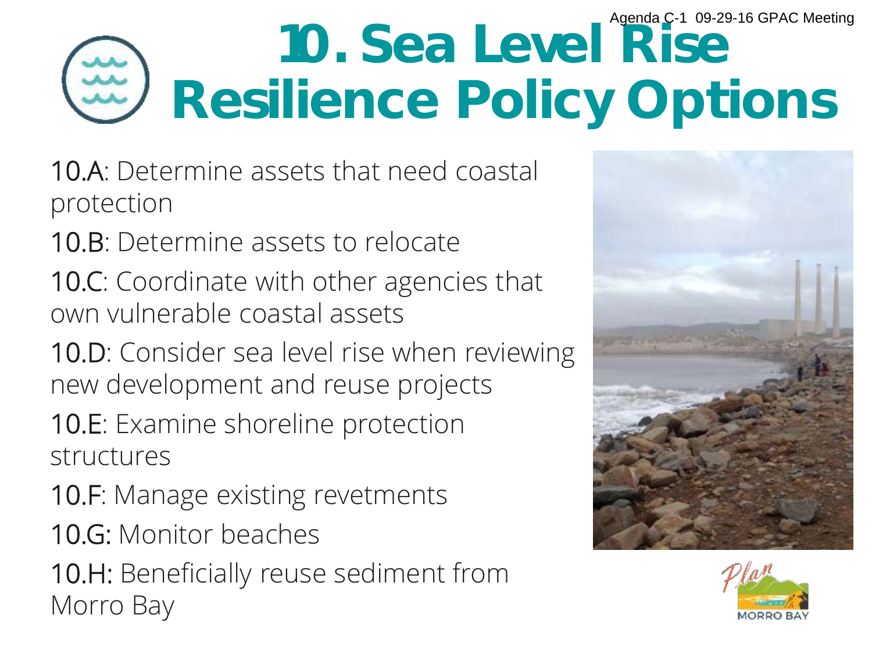#### 10. Sea Level Rise Resilience Policy Options Agenda C-1 09-29-16 GPAC Meeting

- 10.A: Determine assets that need coastal protection
- 10.B: Determine assets to relocate
- 10.C: Coordinate with other agencies that own vulnerable coastal assets
- 10.D: Consider sea level rise when reviewing new development and reuse projects
- 10.E: Examine shoreline protection structures
- 10.F: Manage existing revetments
- 10.G: Monitor beaches
- 10.H: Beneficially reuse sediment from Morro Bay



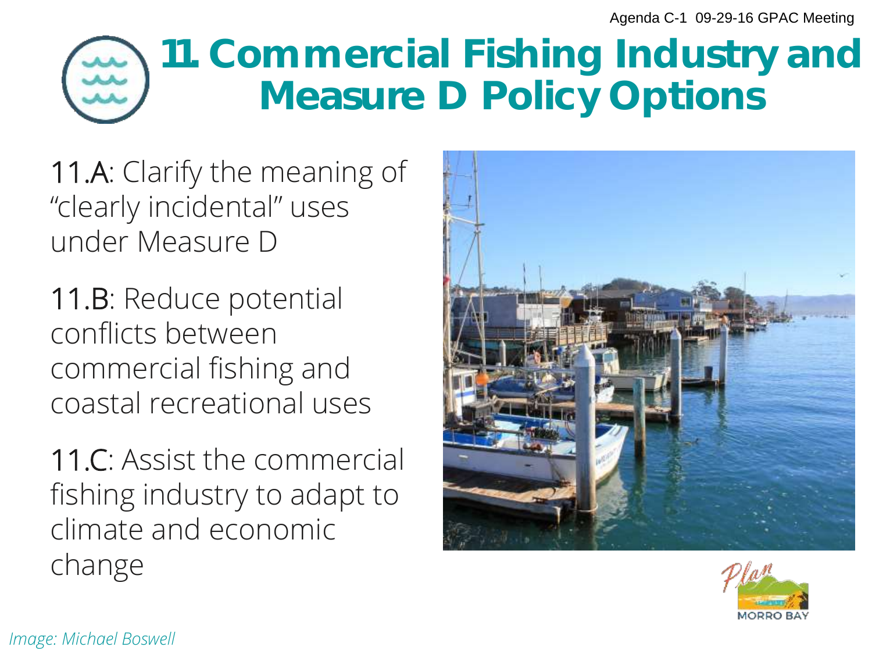### 11. Commercial Fishing Industry and Measure D Policy Options

11.A: Clarify the meaning of "clearly incidental" uses under Measure D

11.B: Reduce potential conflicts between commercial fishing and coastal recreational uses

11.C: Assist the commercial fishing industry to adapt to climate and economic change



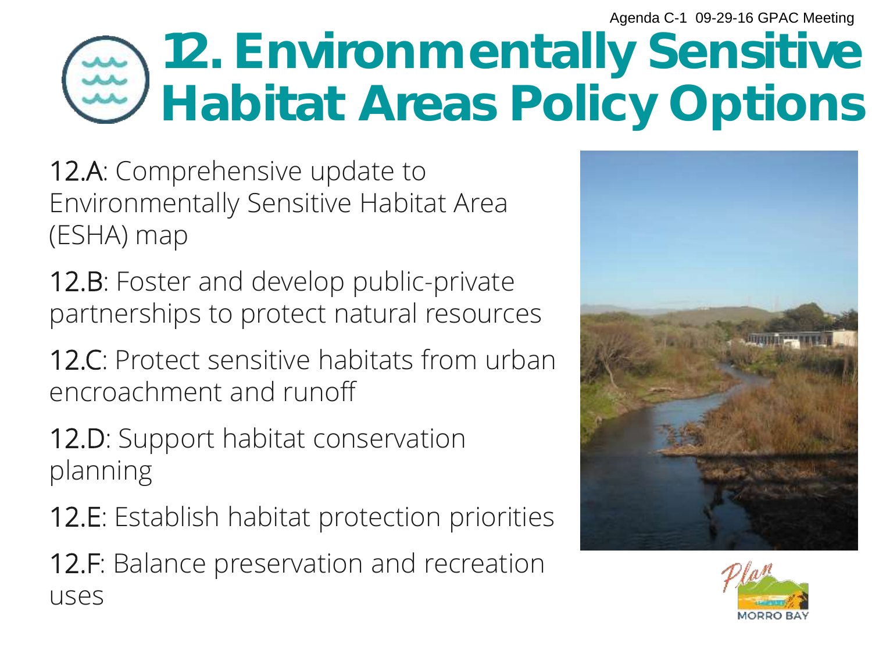### 12. Environmentally Sensitive Habitat Areas Policy Options

12.A: Comprehensive update to Environmentally Sensitive Habitat Area (ESHA) map

12.B: Foster and develop public-private partnerships to protect natural resources

12.C: Protect sensitive habitats from urban encroachment and runoff

12.D: Support habitat conservation planning

12.E: Establish habitat protection priorities

12.F: Balance preservation and recreation uses



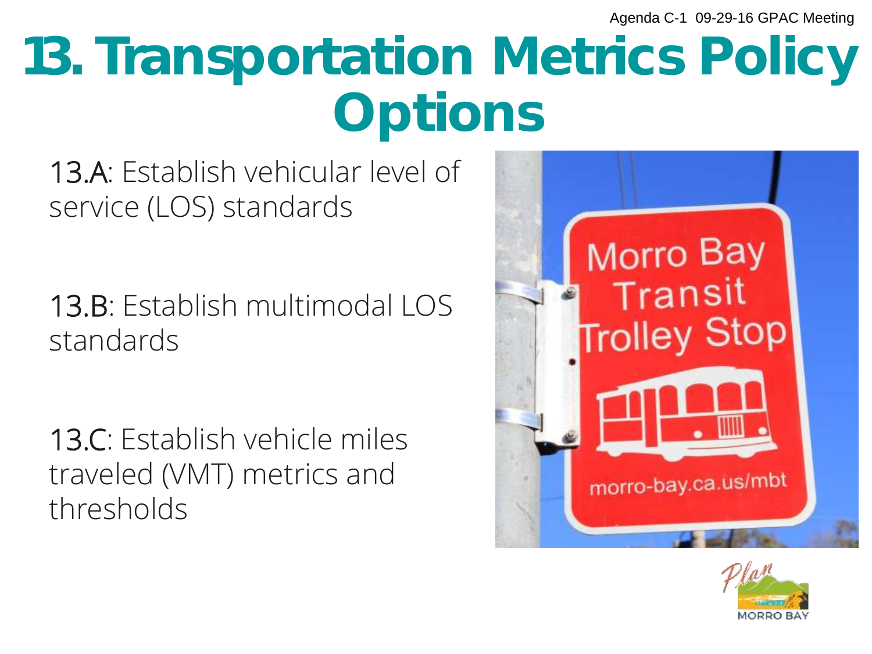## 13. Transportation Metrics Policy **Options**

13.A: Establish vehicular level of service (LOS) standards

13.B: Establish multimodal LOS standards

13.C: Establish vehicle miles traveled (VMT) metrics and thresholds



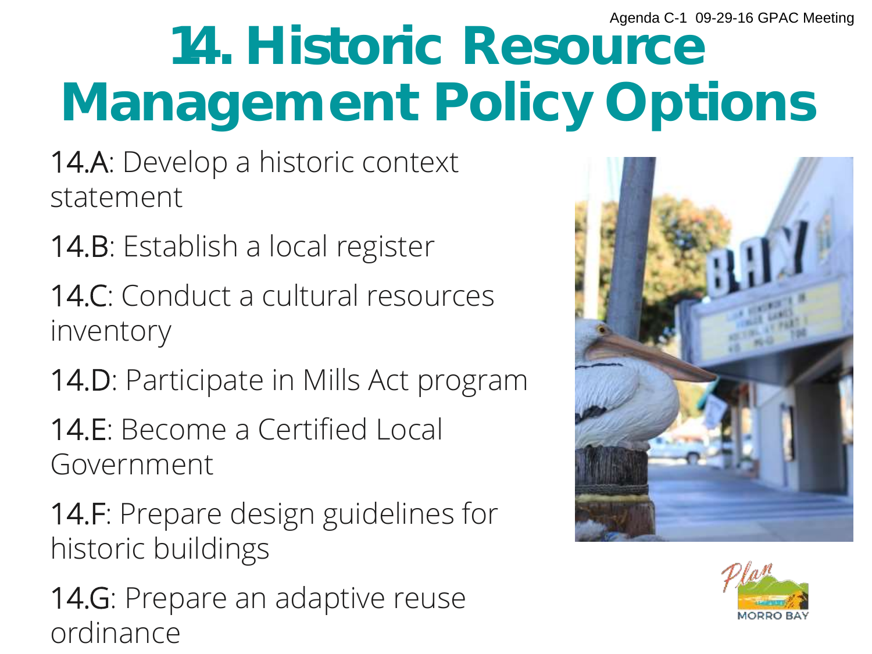## 14. Historic Resource Management Policy Options

- 14.A: Develop a historic context statement
- 14.B: Establish a local register
- 14.C: Conduct a cultural resources inventory
- 14.D: Participate in Mills Act program
- 14.E: Become a Certified Local Government
- 14.F: Prepare design guidelines for historic buildings
- 14.G: Prepare an adaptive reuse ordinance



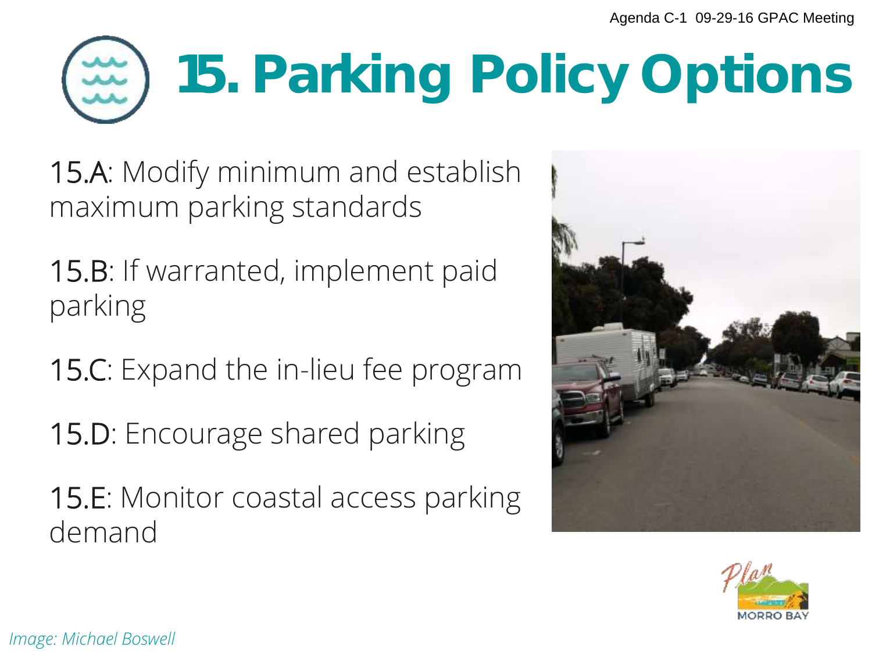# 15. Parking Policy Options

15.A: Modify minimum and establish maximum parking standards

15.B: If warranted, implement paid parking

15.C: Expand the in-lieu fee program

15.D: Encourage shared parking

15.E: Monitor coastal access parking demand



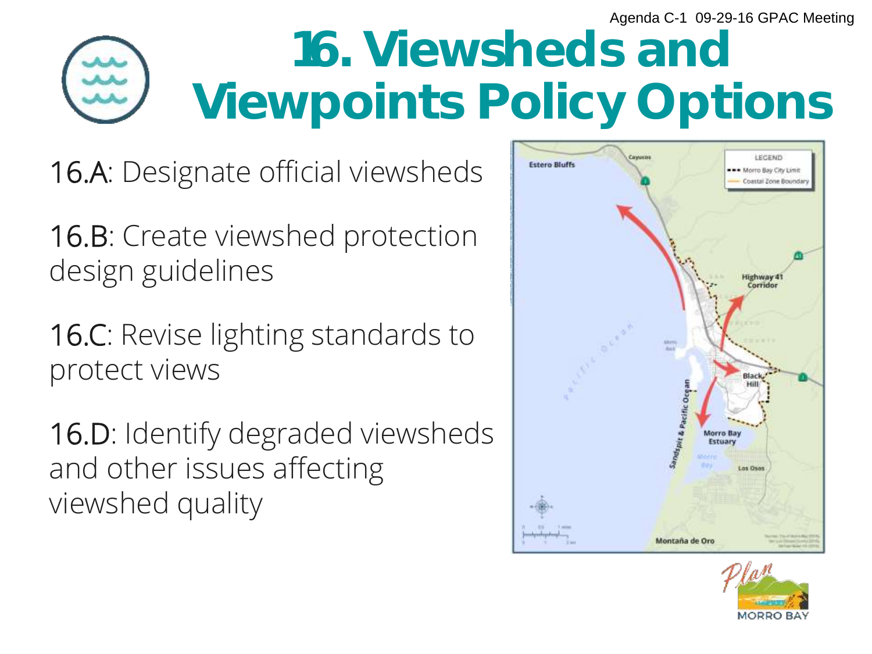### 16. Viewsheds and Viewpoints Policy Options

16.A: Designate official viewsheds

16.B: Create viewshed protection design guidelines

16.C: Revise lighting standards to protect views

16.D: Identify degraded viewsheds and other issues affecting viewshed quality



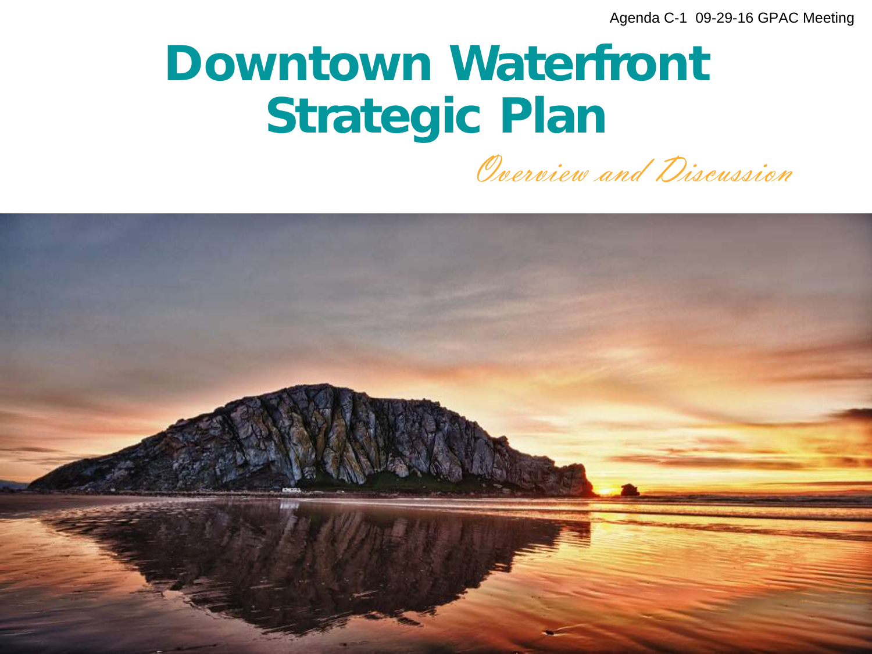### Downtown Waterfront Strategic Plan

Overview and Discussion

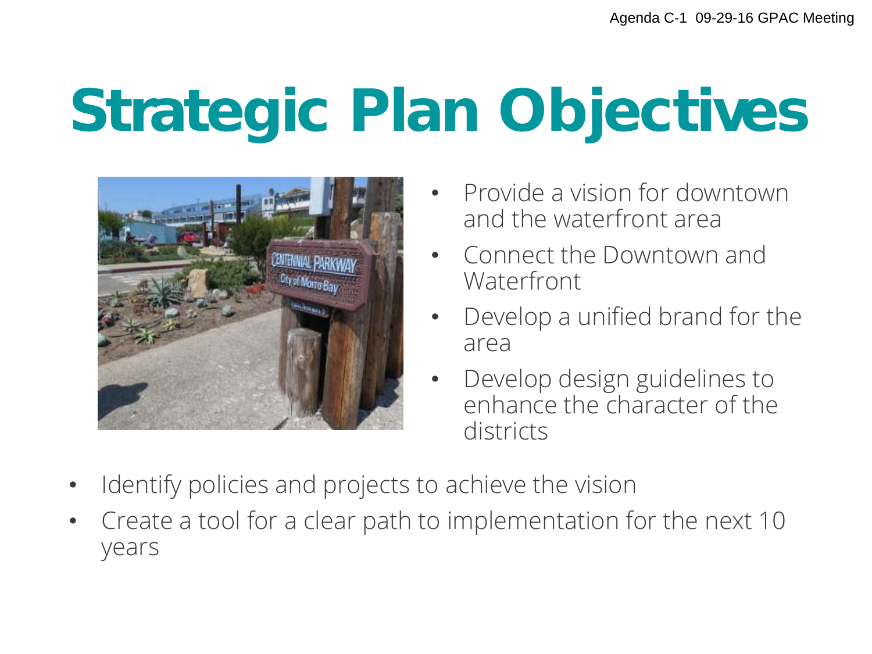## **Strategic Plan Objectives**



- Provide a vision for downtown and the waterfront area
- Connect the Downtown and **Waterfront**
- Develop a unified brand for the area
- Develop design guidelines to enhance the character of the districts
- Identify policies and projects to achieve the vision
- Create a tool for a clear path to implementation for the next 10 years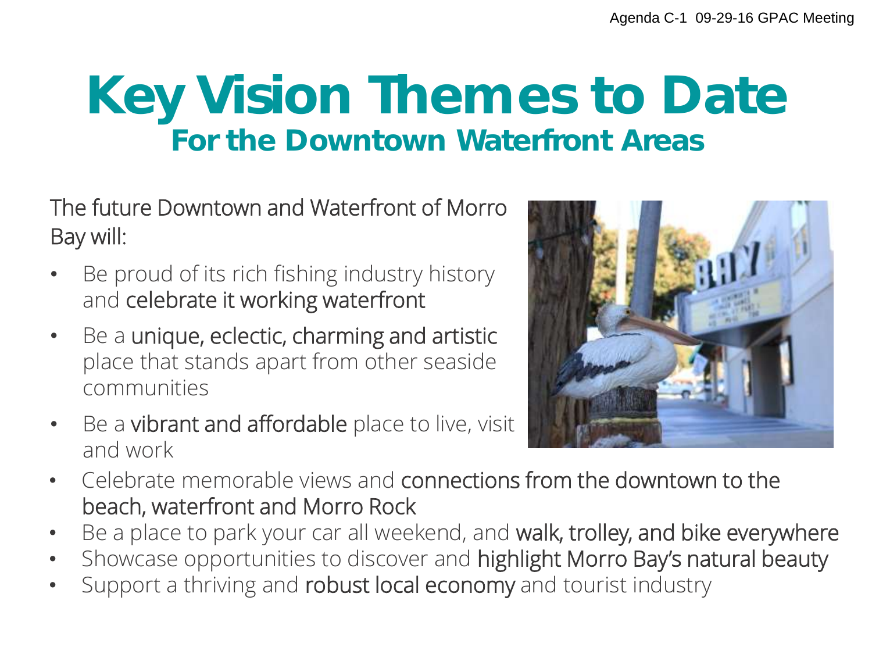### **Key Vision Themes to Date For the Downtown Waterfront Areas**

The future Downtown and Waterfront of Morro Bay will:

- Be proud of its rich fishing industry history and celebrate it working waterfront
- Be a unique, eclectic, charming and artistic place that stands apart from other seaside communities
- Be a vibrant and affordable place to live, visit and work



- Celebrate memorable views and connections from the downtown to the beach, waterfront and Morro Rock
- Be a place to park your car all weekend, and walk, trolley, and bike everywhere
- Showcase opportunities to discover and highlight Morro Bay's natural beauty
- Support a thriving and robust local economy and tourist industry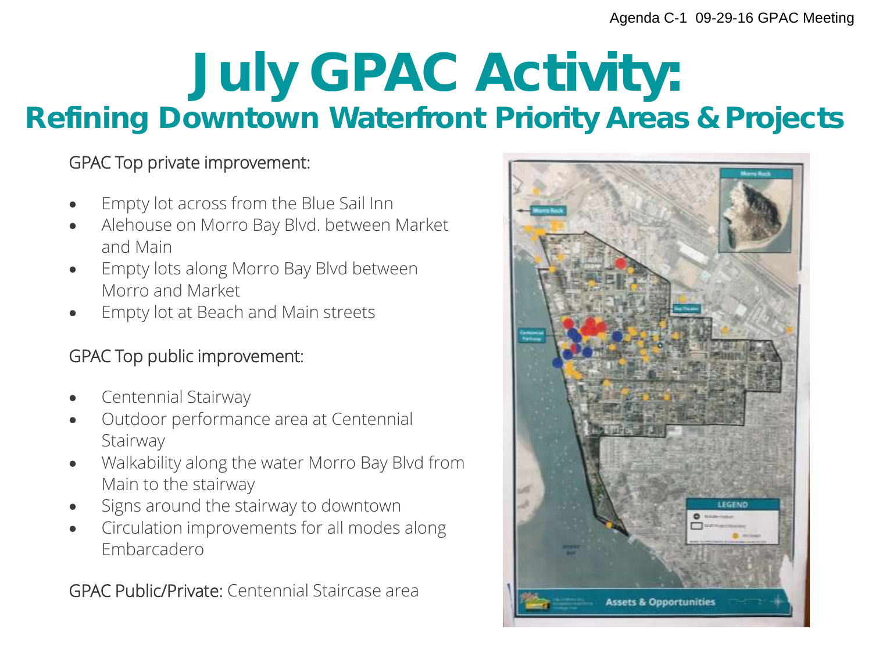### **July GPAC Activity:**  Refining Downtown Waterfront Priority Areas & Projects

#### GPAC Top private improvement:

- Empty lot across from the Blue Sail Inn
- Alehouse on Morro Bay Blvd. between Market and Main
- Empty lots along Morro Bay Blvd between Morro and Market
- Empty lot at Beach and Main streets

#### GPAC Top public improvement:

- Centennial Stairway
- Outdoor performance area at Centennial **Stairway**
- Walkability along the water Morro Bay Blvd from Main to the stairway
- Signs around the stairway to downtown
- Circulation improvements for all modes along Embarcadero

GPAC Public/Private: Centennial Staircase area

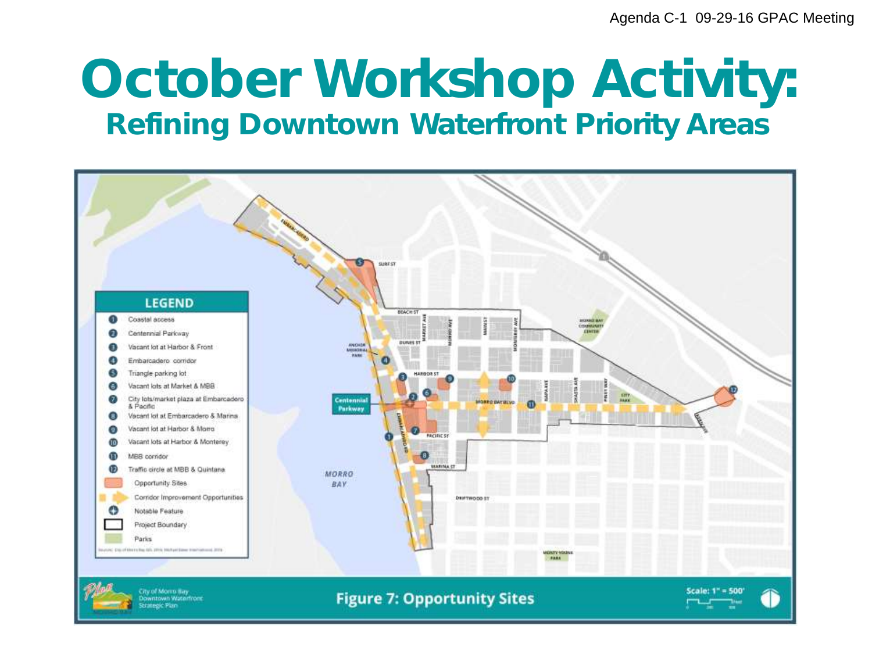### **October Workshop Activity:**  Refining Downtown Waterfront Priority Areas

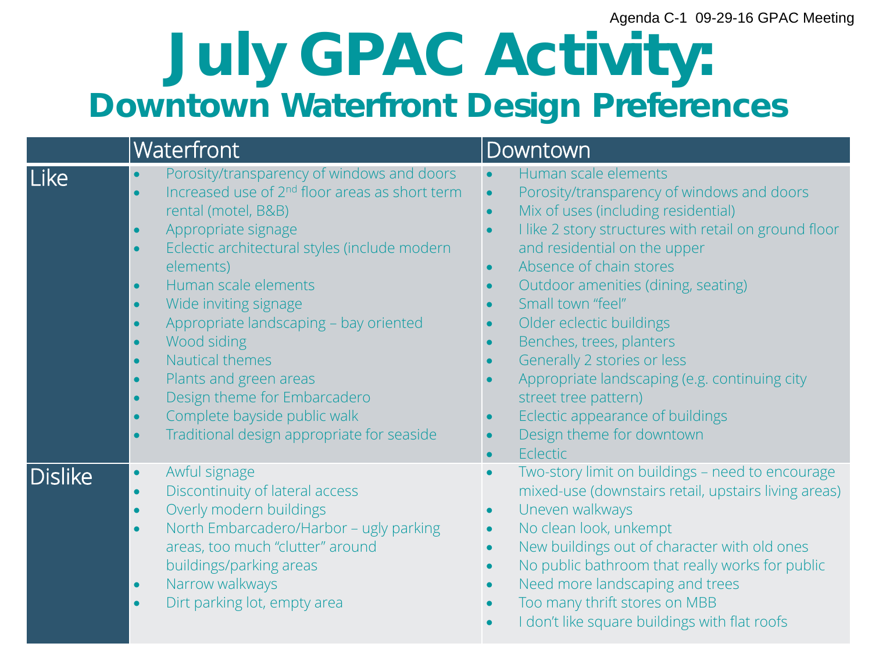### **July GPAC Activity: Downtown Waterfront Design Preferences**

|         | Waterfront                                                                                                                                                                                                                                                                                                                                                                                                                                                                                                                                                                                                                                            | <b>Downtown</b>                                                                                                                                                                                                                                                                                                                                                                                                                                                                                                                                                                                                                                |
|---------|-------------------------------------------------------------------------------------------------------------------------------------------------------------------------------------------------------------------------------------------------------------------------------------------------------------------------------------------------------------------------------------------------------------------------------------------------------------------------------------------------------------------------------------------------------------------------------------------------------------------------------------------------------|------------------------------------------------------------------------------------------------------------------------------------------------------------------------------------------------------------------------------------------------------------------------------------------------------------------------------------------------------------------------------------------------------------------------------------------------------------------------------------------------------------------------------------------------------------------------------------------------------------------------------------------------|
| Like    | Porosity/transparency of windows and doors<br>Increased use of 2 <sup>nd</sup> floor areas as short term<br>$\bullet$<br>rental (motel, B&B)<br>Appropriate signage<br>$\bullet$<br>Eclectic architectural styles (include modern<br>$\bullet$<br>elements)<br>Human scale elements<br>$\bullet$<br>Wide inviting signage<br>$\bullet$<br>Appropriate landscaping - bay oriented<br>$\bullet$<br>Wood siding<br>$\bullet$<br>Nautical themes<br>$\bullet$<br>Plants and green areas<br>$\bullet$<br>Design theme for Embarcadero<br>$\bullet$<br>Complete bayside public walk<br>$\bullet$<br>Traditional design appropriate for seaside<br>$\bullet$ | Human scale elements<br>$\bullet$<br>Porosity/transparency of windows and doors<br>$\bullet$<br>Mix of uses (including residential)<br>$\bullet$<br>I like 2 story structures with retail on ground floor<br>$\bullet$<br>and residential on the upper<br>Absence of chain stores<br>$\bullet$<br>Outdoor amenities (dining, seating)<br>$\bullet$<br>Small town "feel"<br>Older eclectic buildings<br>Benches, trees, planters<br>Generally 2 stories or less<br>Appropriate landscaping (e.g. continuing city<br>street tree pattern)<br>Eclectic appearance of buildings<br>$\bullet$<br>Design theme for downtown<br>$\bullet$<br>Eclectic |
| Dislike | Awful signage<br>$\bullet$<br>Discontinuity of lateral access<br>$\bullet$<br>Overly modern buildings<br>$\bullet$<br>North Embarcadero/Harbor - ugly parking<br>$\bullet$<br>areas, too much "clutter" around<br>buildings/parking areas<br>Narrow walkways<br>$\bullet$<br>Dirt parking lot, empty area<br>$\bullet$                                                                                                                                                                                                                                                                                                                                | Two-story limit on buildings - need to encourage<br>$\bullet$<br>mixed-use (downstairs retail, upstairs living areas)<br>Uneven walkways<br>$\bullet$<br>No clean look, unkempt<br>$\bullet$<br>New buildings out of character with old ones<br>$\bullet$<br>No public bathroom that really works for public<br>$\bullet$<br>Need more landscaping and trees<br>Too many thrift stores on MBB<br>I don't like square buildings with flat roofs                                                                                                                                                                                                 |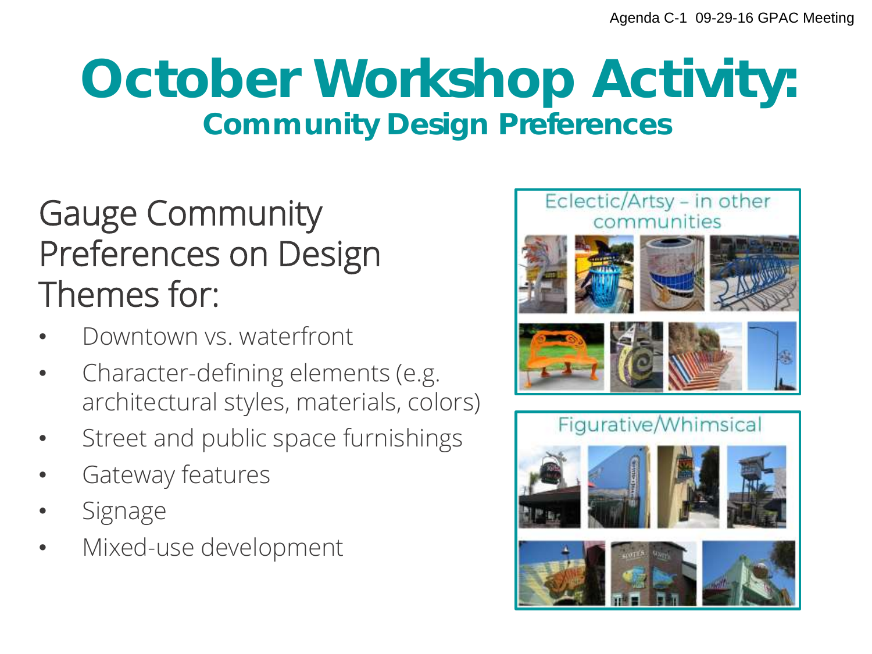### **October Workshop Activity:**  Community Design Preferences

#### Gauge Community Preferences on Design Themes for:

- Downtown vs. waterfront
- Character-defining elements (e.g. architectural styles, materials, colors)
- Street and public space furnishings
- Gateway features
- **Signage**
- Mixed-use development

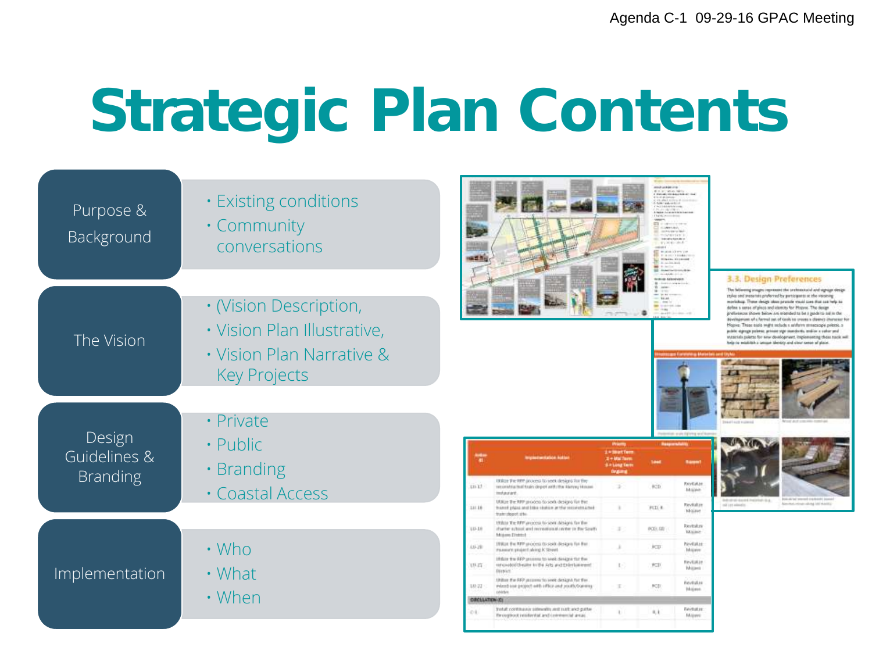## **Strategic Plan Contents**

| Purpose &<br>Background                   | <b>· Existing conditions</b><br>• Community<br>conversations                                              | structure and structure<br><b>CALL WAS SEX </b><br><b>COMPANY</b><br><b>Castro Corp. Control Castro Corp.</b><br>ET CONTRACTOR<br>SUMMER.<br>contractor in their<br>Contribution (1)<br><b>Internation North Avie</b><br>4530 Blocked<br>sec.<br><b>BUILDING</b><br>TRIFFORMATION<br>drive also also assumed<br>$-14.001$<br><b>Links</b><br><b>STARTING</b><br>this friends.                                                                                                                                                                                                                                                                                                                                                                                                                                                                                                                                                                      |
|-------------------------------------------|-----------------------------------------------------------------------------------------------------------|----------------------------------------------------------------------------------------------------------------------------------------------------------------------------------------------------------------------------------------------------------------------------------------------------------------------------------------------------------------------------------------------------------------------------------------------------------------------------------------------------------------------------------------------------------------------------------------------------------------------------------------------------------------------------------------------------------------------------------------------------------------------------------------------------------------------------------------------------------------------------------------------------------------------------------------------------|
| The Vision                                | · (Vision Description,<br>· Vision Plan Illustrative,<br>• Vision Plan Narrative &<br><b>Key Projects</b> | 3.3. Design Preferences<br>The following images impressed the preferenced and signage sterige.<br>styles and present spreferred by pertogents at the visioning<br>morkshop. These design ideas provide stood core that can help be<br>define a sense of pieco and identity for Hopver. The design<br>preferences (Kowe biskw.srs elended to be a pudnits sel in the<br>Bivelageness of a farmal set of tools to create a diverse) character for<br>Hopve: These easts wight reclude a wishern atmentage polente, a<br>jubbt stjenge polente, private sign standorfis, tesklar a vator prof.<br>statutes polerar for new development, inspires except these rack will<br>help to establish a unuan abovery and structures of plans.                                                                                                                                                                                                                 |
| Design<br>Guidelines &<br><b>Branding</b> | · Private<br>• Public<br>· Branding<br>· Coastal Access                                                   | carate tighting see? \$<br><b>Pressure</b><br><b>Pricetts</b><br>1 = Stort Terry<br>1 + Mai Tayer<br><b>Situagine</b><br><b>Drawing</b><br>UDILE Fie RPF process to yeek designs for the<br>RevEator<br>(CD)<br>311-13<br>recorning/but train depot with the Harrey House<br>$\rightarrow$<br>Majake<br>tedaurant.<br>\$120, \$2, but serves and child detailed<br>Information description of the A.<br>UULLe the NPP process to seek designs for the<br>Alexandra minute sales and started<br><b>Favilation</b><br>call intermedial                                                                                                                                                                                                                                                                                                                                                                                                               |
| Implementation                            | $\cdot$ Who<br>• What<br>• When                                                                           | 311.18<br>FED. R.<br>hand place will like statue at the reconstrained<br>Molave<br>train shopps site.<br>Holder the NPP process to sever designs for the<br>Revisions<br>10-18<br>thatter subset and rememberature for the Seath<br><b>POSSIT</b><br><b>Maine</b><br><b>Midson District</b><br>UNLy the MP process to seek designs for the<br>NevEaton<br><b>JU-29</b><br><b>JOUR</b><br>Passium pisjant sking K Street<br><b>Millwer</b><br>Hillary the RPP processes to week develope that they<br><b>Fevilation</b><br>10.27<br>renunded theater in the Arts and third interest<br>FCD.<br>Mitant<br>District:<br>United the RRP persons to seek design) fut the<br>Feybalas<br>38/22<br>intent cor payers with office and postlyDakers<br>POD<br><b>Higan</b><br><b>DARM</b><br><b>DROLLATE</b><br>tretal: continuusa sidewalis and such and gatter<br>Ferhatze<br>$2 + 1$<br>9, 8<br>for coglocol insiderable and commercial areas.<br>Miguez |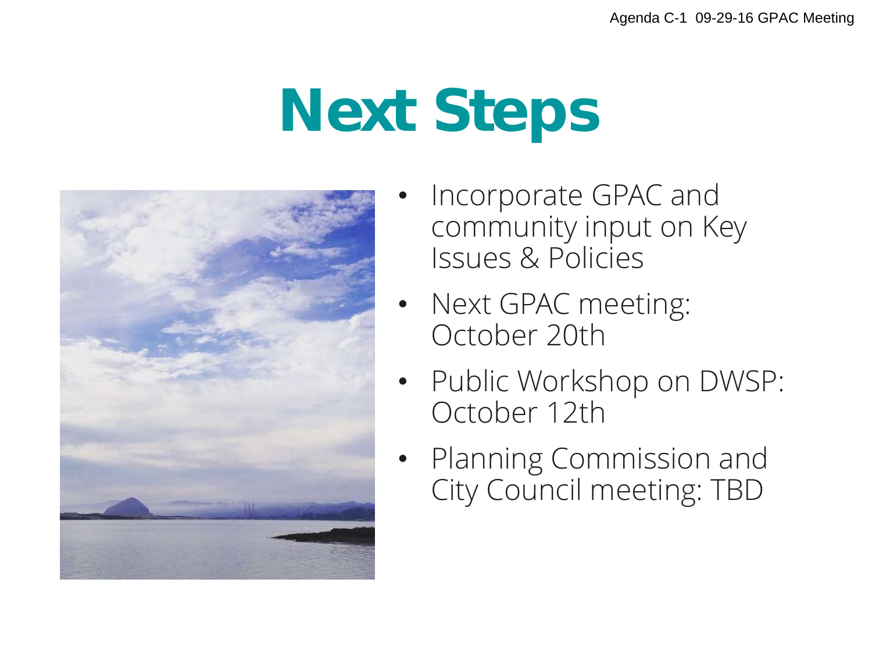## Next Steps



- Incorporate GPAC and community input on Key Issues & Policies
- Next GPAC meeting: October 20th
- Public Workshop on DWSP: October 12th
- Planning Commission and City Council meeting: TBD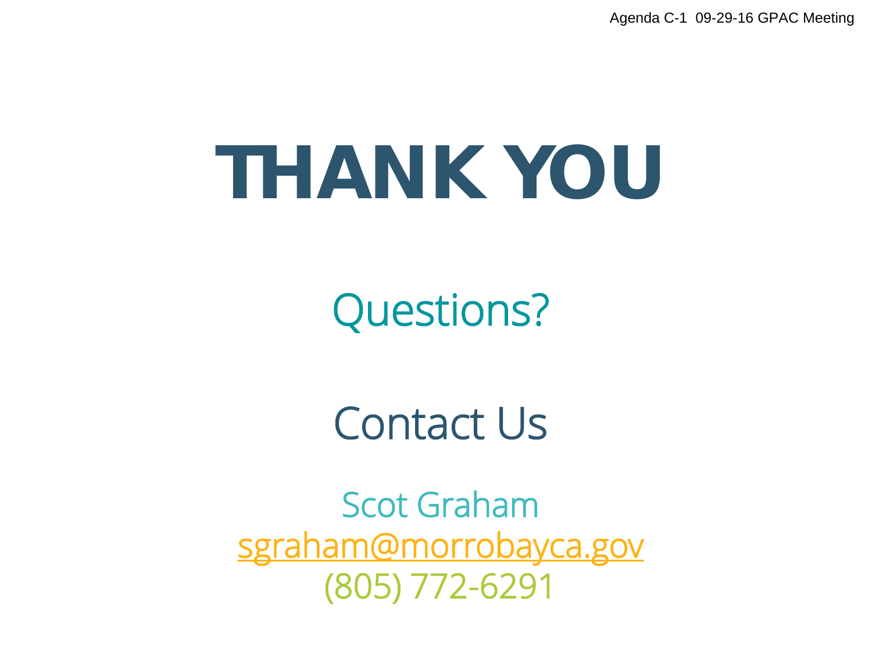## THANK YOU

Questions?

Contact Us

Scot Graham sgraham@morrobayca.gov (805) 772-6291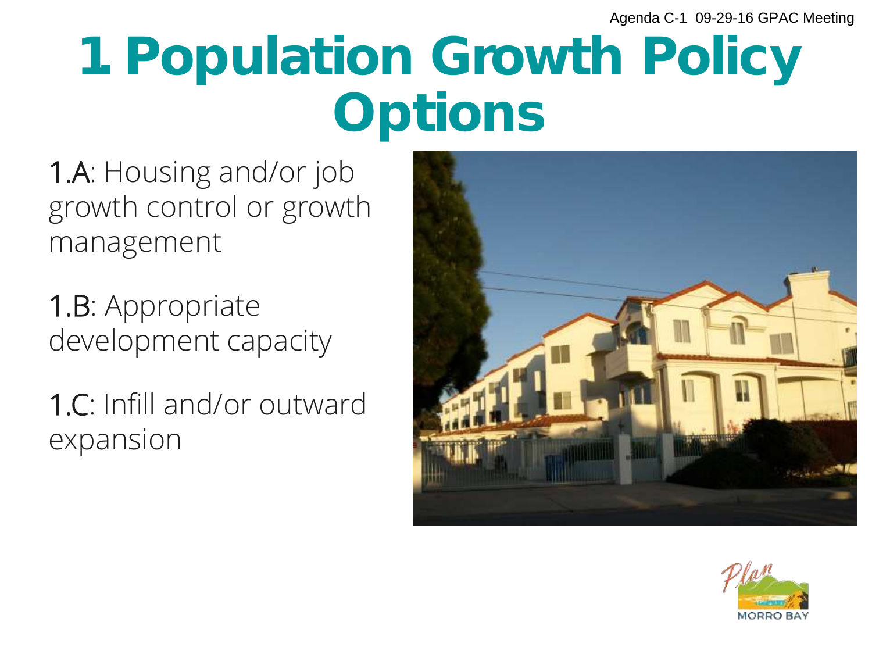## 1. Population Growth Policy **Options**

1.A: Housing and/or job growth control or growth management

1.B: Appropriate development capacity

1.C: Infill and/or outward expansion



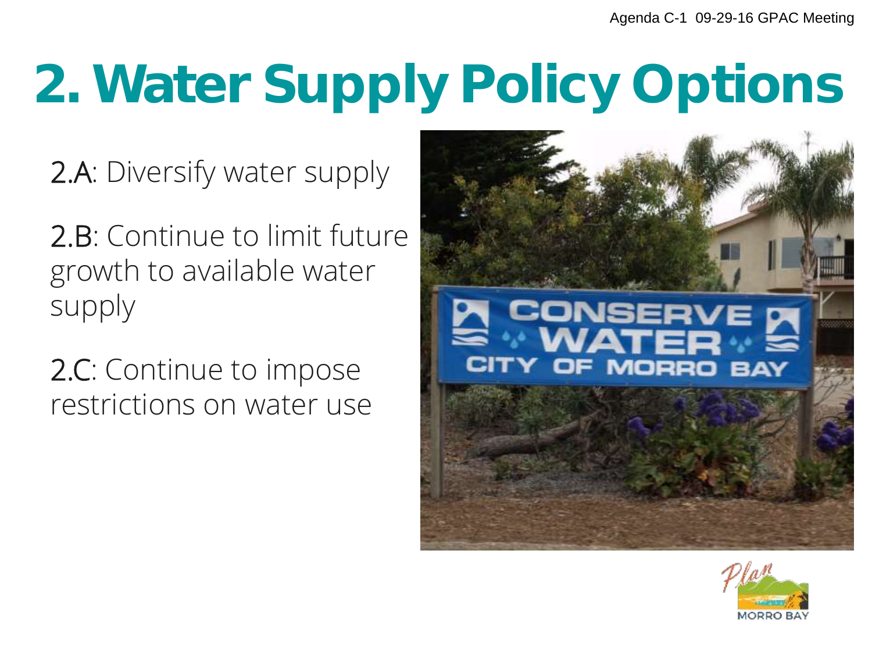## 2. Water Supply Policy Options

2.A: Diversify water supply

2.B: Continue to limit future growth to available water supply

2.C: Continue to impose restrictions on water use



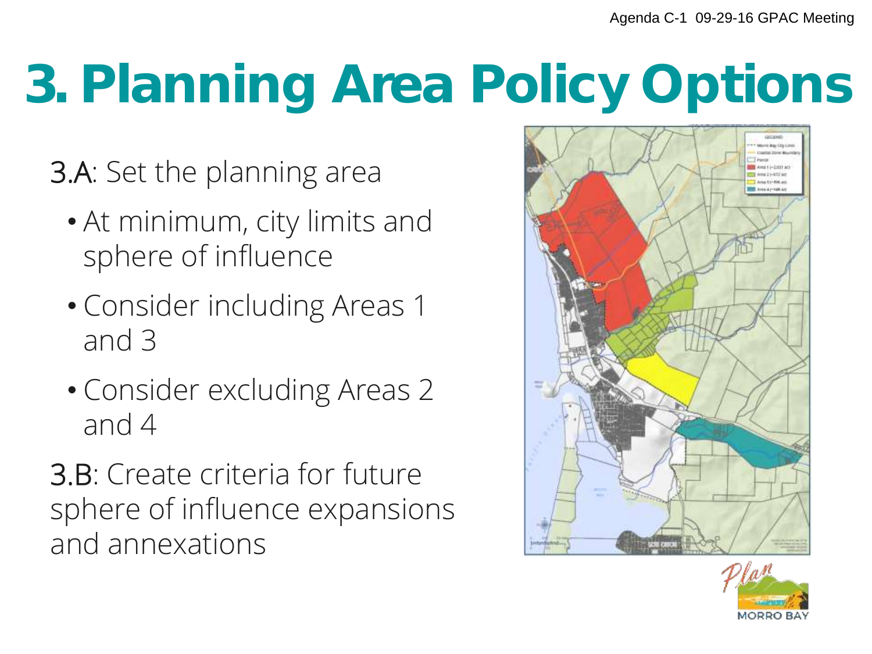## 3. Planning Area Policy Options

- 3.A: Set the planning area
	- At minimum, city limits and sphere of influence
	- Consider including Areas 1 and 3
	- Consider excluding Areas 2 and 4
- 3.B: Create criteria for future sphere of influence expansions and annexations



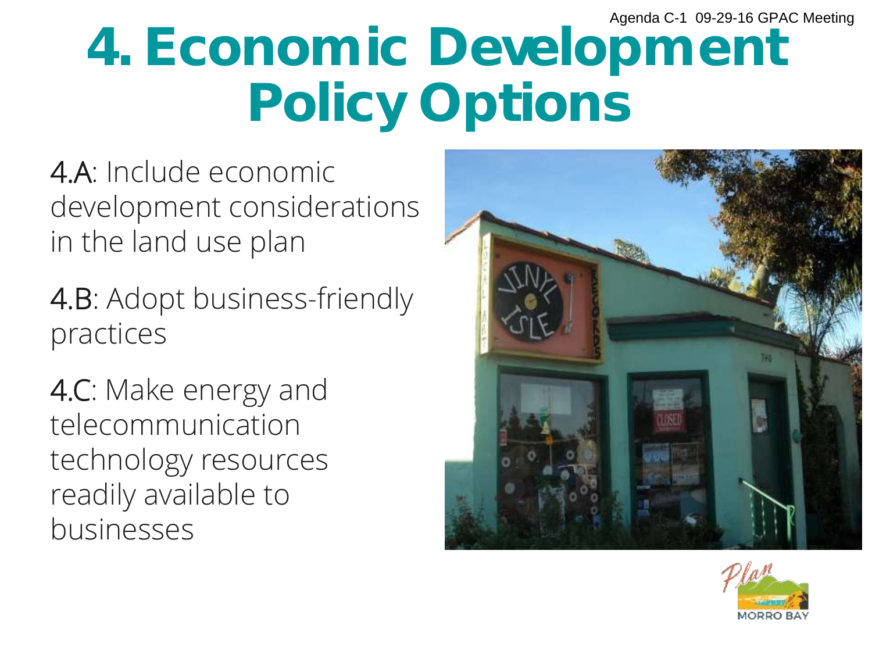## 4. Economic Development Policy Options

4.A: Include economic development considerations in the land use plan

4.B: Adopt business-friendly practices

4.C: Make energy and telecommunication technology resources readily available to businesses



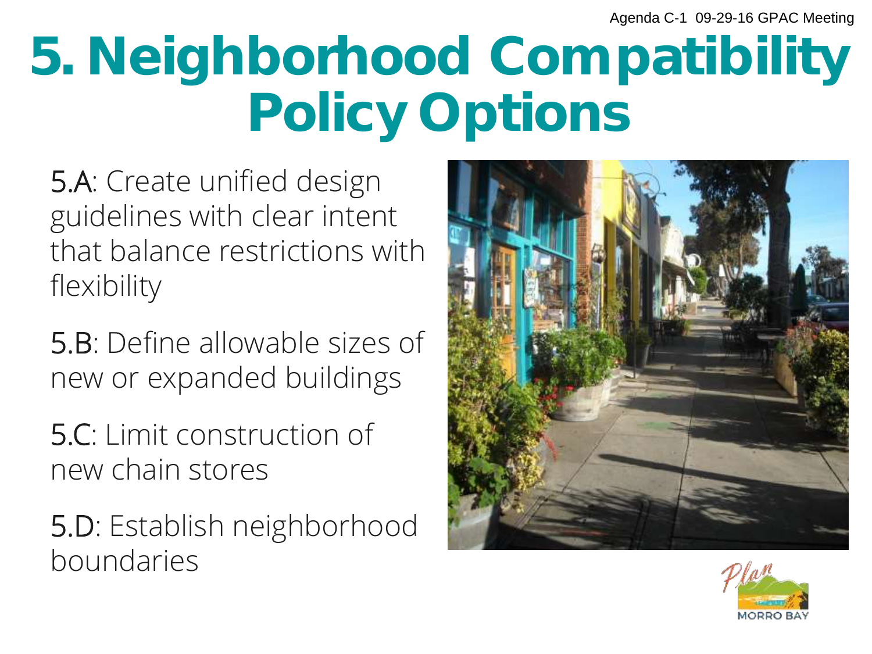## 5. Neighborhood Compatibility Policy Options

5.A: Create unified design guidelines with clear intent that balance restrictions with flexibility

5.B: Define allowable sizes of new or expanded buildings

5.C: Limit construction of new chain stores

5.D: Establish neighborhood boundaries



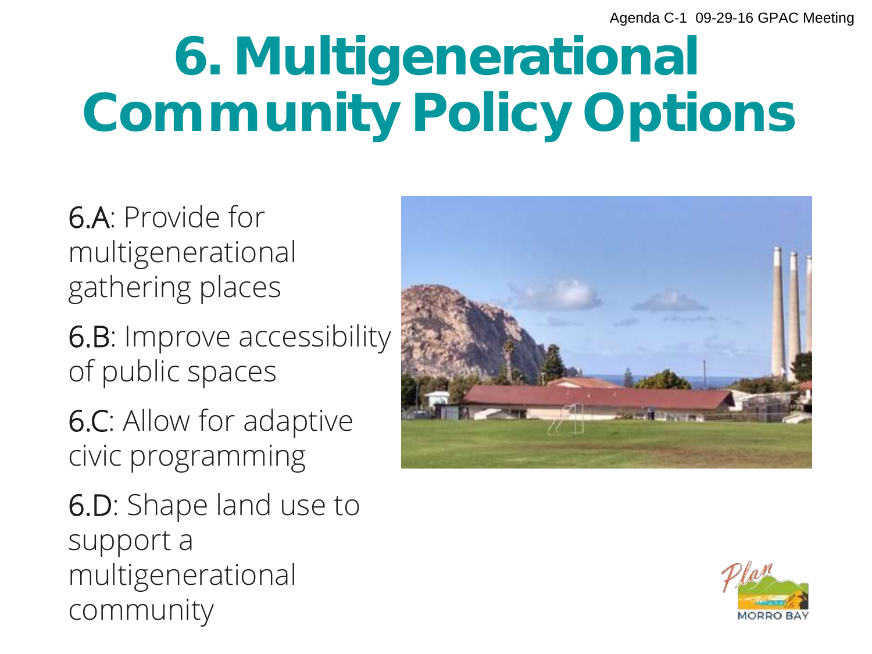## 6. Multigenerational Community Policy Options

6.A: Provide for multigenerational gathering places

6.B: Improve accessibility of public spaces

6.C: Allow for adaptive civic programming

6.D: Shape land use to support a multigenerational community